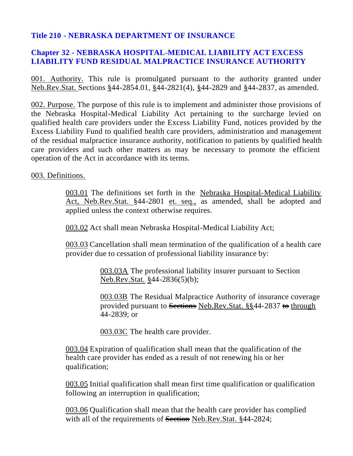## **Title 210 - NEBRASKA DEPARTMENT OF INSURANCE**

## **Chapter 32 - NEBRASKA HOSPITAL-MEDICAL LIABILITY ACT EXCESS LIABILITY FUND RESIDUAL MALPRACTICE INSURANCE AUTHORITY**

001. Authority. This rule is promulgated pursuant to the authority granted under Neb.Rev.Stat. Sections §44-2854.01, §44-2821(4), §44-2829 and §44-2837, as amended.

002. Purpose. The purpose of this rule is to implement and administer those provisions of the Nebraska Hospital-Medical Liability Act pertaining to the surcharge levied on qualified health care providers under the Excess Liability Fund, notices provided by the Excess Liability Fund to qualified health care providers, administration and management of the residual malpractice insurance authority, notification to patients by qualified health care providers and such other matters as may be necessary to promote the efficient operation of the Act in accordance with its terms.

003. Definitions.

003.01 The definitions set forth in the Nebraska Hospital-Medical Liability Act, Neb.Rev.Stat. §44-2801 et. seq., as amended, shall be adopted and applied unless the context otherwise requires.

003.02 Act shall mean Nebraska Hospital-Medical Liability Act;

003.03 Cancellation shall mean termination of the qualification of a health care provider due to cessation of professional liability insurance by:

> 003.03A The professional liability insurer pursuant to Section Neb.Rev.Stat. §44-2836(5)(b);

003.03B The Residual Malpractice Authority of insurance coverage provided pursuant to Sections Neb.Rev.Stat. §§44-2837 <del>to</del> through 44-2839; or

003.03C The health care provider.

003.04 Expiration of qualification shall mean that the qualification of the health care provider has ended as a result of not renewing his or her qualification;

003.05 Initial qualification shall mean first time qualification or qualification following an interruption in qualification;

003.06 Qualification shall mean that the health care provider has complied with all of the requirements of Section Neb.Rev.Stat. §44-2824;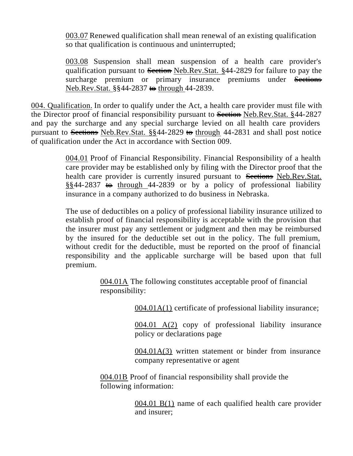003.07 Renewed qualification shall mean renewal of an existing qualification so that qualification is continuous and uninterrupted;

003.08 Suspension shall mean suspension of a health care provider's qualification pursuant to Section Neb.Rev.Stat. §44-2829 for failure to pay the surcharge premium or primary insurance premiums under Sections Neb.Rev.Stat. §§44-2837 <del>to</del> through 44-2839.

004. Qualification. In order to qualify under the Act, a health care provider must file with the Director proof of financial responsibility pursuant to Section Neb.Rev.Stat. §44-2827 and pay the surcharge and any special surcharge levied on all health care providers pursuant to Sections Neb.Rev.Stat.  $\S$  $44$ -2829 to through 44-2831 and shall post notice of qualification under the Act in accordance with Section 009.

> 004.01 Proof of Financial Responsibility. Financial Responsibility of a health care provider may be established only by filing with the Director proof that the health care provider is currently insured pursuant to Sections Neb.Rev.Stat.  $\S$ §44-2837 to through 44-2839 or by a policy of professional liability insurance in a company authorized to do business in Nebraska.

> The use of deductibles on a policy of professional liability insurance utilized to establish proof of financial responsibility is acceptable with the provision that the insurer must pay any settlement or judgment and then may be reimbursed by the insured for the deductible set out in the policy. The full premium, without credit for the deductible, must be reported on the proof of financial responsibility and the applicable surcharge will be based upon that full premium.

> > 004.01A The following constitutes acceptable proof of financial responsibility:

> > > 004.01A(1) certificate of professional liability insurance;

004.01 A(2) copy of professional liability insurance policy or declarations page

004.01A(3) written statement or binder from insurance company representative or agent

004.01B Proof of financial responsibility shall provide the following information:

> 004.01 B(1) name of each qualified health care provider and insurer;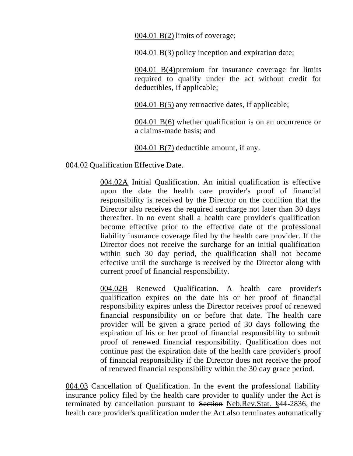004.01 B(2) limits of coverage;

004.01 B(3) policy inception and expiration date;

004.01 B(4)premium for insurance coverage for limits required to qualify under the act without credit for deductibles, if applicable;

004.01 B(5) any retroactive dates, if applicable;

004.01 B(6) whether qualification is on an occurrence or a claims-made basis; and

004.01 B(7) deductible amount, if any.

004.02 Qualification Effective Date.

004.02A Initial Qualification. An initial qualification is effective upon the date the health care provider's proof of financial responsibility is received by the Director on the condition that the Director also receives the required surcharge not later than 30 days thereafter. In no event shall a health care provider's qualification become effective prior to the effective date of the professional liability insurance coverage filed by the health care provider. If the Director does not receive the surcharge for an initial qualification within such 30 day period, the qualification shall not become effective until the surcharge is received by the Director along with current proof of financial responsibility.

004.02B Renewed Qualification. A health care provider's qualification expires on the date his or her proof of financial responsibility expires unless the Director receives proof of renewed financial responsibility on or before that date. The health care provider will be given a grace period of 30 days following the expiration of his or her proof of financial responsibility to submit proof of renewed financial responsibility. Qualification does not continue past the expiration date of the health care provider's proof of financial responsibility if the Director does not receive the proof of renewed financial responsibility within the 30 day grace period.

004.03 Cancellation of Qualification. In the event the professional liability insurance policy filed by the health care provider to qualify under the Act is terminated by cancellation pursuant to Section Neb.Rev.Stat. §44-2836, the health care provider's qualification under the Act also terminates automatically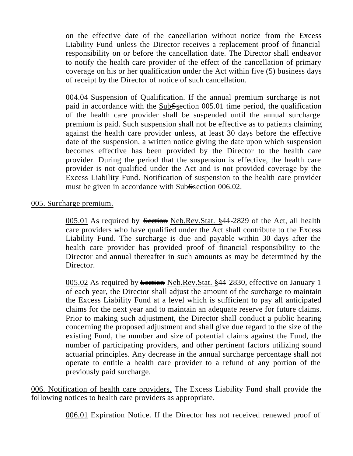on the effective date of the cancellation without notice from the Excess Liability Fund unless the Director receives a replacement proof of financial responsibility on or before the cancellation date. The Director shall endeavor to notify the health care provider of the effect of the cancellation of primary coverage on his or her qualification under the Act within five (5) business days of receipt by the Director of notice of such cancellation.

004.04 Suspension of Qualification. If the annual premium surcharge is not paid in accordance with the SubSsection 005.01 time period, the qualification of the health care provider shall be suspended until the annual surcharge premium is paid. Such suspension shall not be effective as to patients claiming against the health care provider unless, at least 30 days before the effective date of the suspension, a written notice giving the date upon which suspension becomes effective has been provided by the Director to the health care provider. During the period that the suspension is effective, the health care provider is not qualified under the Act and is not provided coverage by the Excess Liability Fund. Notification of suspension to the health care provider must be given in accordance with SubSsection 006.02.

## 005. Surcharge premium.

005.01 As required by Section Neb.Rev.Stat. §44-2829 of the Act, all health care providers who have qualified under the Act shall contribute to the Excess Liability Fund. The surcharge is due and payable within 30 days after the health care provider has provided proof of financial responsibility to the Director and annual thereafter in such amounts as may be determined by the Director.

005.02 As required by **Section** Neb.Rev.Stat. §44-2830, effective on January 1 of each year, the Director shall adjust the amount of the surcharge to maintain the Excess Liability Fund at a level which is sufficient to pay all anticipated claims for the next year and to maintain an adequate reserve for future claims. Prior to making such adjustment, the Director shall conduct a public hearing concerning the proposed adjustment and shall give due regard to the size of the existing Fund, the number and size of potential claims against the Fund, the number of participating providers, and other pertinent factors utilizing sound actuarial principles. Any decrease in the annual surcharge percentage shall not operate to entitle a health care provider to a refund of any portion of the previously paid surcharge.

006. Notification of health care providers. The Excess Liability Fund shall provide the following notices to health care providers as appropriate.

006.01 Expiration Notice. If the Director has not received renewed proof of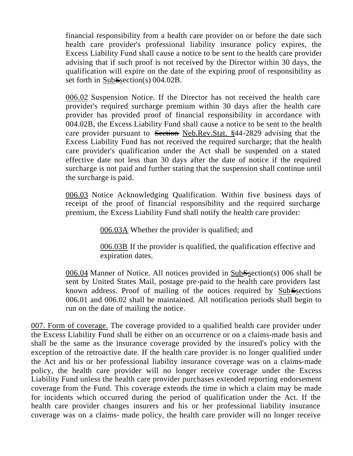financial responsibility from a health care provider on or before the date such health care provider's professional liability insurance policy expires, the Excess Liability Fund shall cause a notice to be sent to the health care provider advising that if such proof is not received by the Director within 30 days, the qualification will expire on the date of the expiring proof of responsibility as set forth in SubSsection(s) 004.02B.

006.02 Suspension Notice. If the Director has not received the health care provider's required surcharge premium within 30 days after the health care provider has provided proof of financial responsibility in accordance with 004.02B, the Excess Liability Fund shall cause a notice to be sent to the health care provider pursuant to Section Neb.Rev.Stat. §44-2829 advising that the Excess Liability Fund has not received the required surcharge; that the health care provider's qualification under the Act shall be suspended on a stated effective date not less than 30 days after the date of notice if the required surcharge is not paid and further stating that the suspension shall continue until the surcharge is paid.

006.03 Notice Acknowledging Qualification. Within five business days of receipt of the proof of financial responsibility and the required surcharge premium, the Excess Liability Fund shall notify the health care provider:

006.03A Whether the provider is qualified; and

006.03B If the provider is qualified, the qualification effective and expiration dates.

006.04 Manner of Notice. All notices provided in SubSsection(s) 006 shall be sent by United States Mail, postage pre-paid to the health care providers last known address. Proof of mailing of the notices required by SubSsections 006.01 and 006.02 shall be maintained. All notification periods shall begin to run on the date of mailing the notice.

007. Form of coverage. The coverage provided to a qualified health care provider under the Excess Liability Fund shall be either on an occurrence or on a claims-made basis and shall be the same as the insurance coverage provided by the insured's policy with the exception of the retroactive date. If the health care provider is no longer qualified under the Act and his or her professional liability insurance coverage was on a claims-made policy, the health care provider will no longer receive coverage under the Excess Liability Fund unless the health care provider purchases extended reporting endorsement coverage from the Fund. This coverage extends the time in which a claim may be made for incidents which occurred during the period of qualification under the Act. If the health care provider changes insurers and his or her professional liability insurance coverage was on a claims- made policy, the health care provider will no longer receive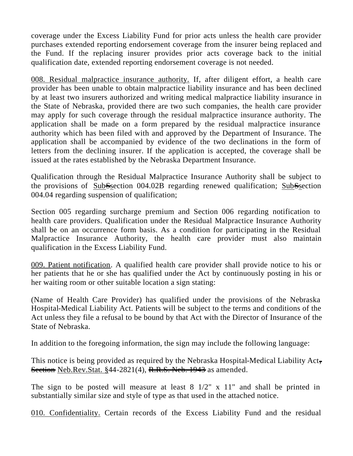coverage under the Excess Liability Fund for prior acts unless the health care provider purchases extended reporting endorsement coverage from the insurer being replaced and the Fund. If the replacing insurer provides prior acts coverage back to the initial qualification date, extended reporting endorsement coverage is not needed.

008. Residual malpractice insurance authority. If, after diligent effort, a health care provider has been unable to obtain malpractice liability insurance and has been declined by at least two insurers authorized and writing medical malpractice liability insurance in the State of Nebraska, provided there are two such companies, the health care provider may apply for such coverage through the residual malpractice insurance authority. The application shall be made on a form prepared by the residual malpractice insurance authority which has been filed with and approved by the Department of Insurance. The application shall be accompanied by evidence of the two declinations in the form of letters from the declining insurer. If the application is accepted, the coverage shall be issued at the rates established by the Nebraska Department Insurance.

Qualification through the Residual Malpractice Insurance Authority shall be subject to the provisions of SubSsection 004.02B regarding renewed qualification; SubSsection 004.04 regarding suspension of qualification;

Section 005 regarding surcharge premium and Section 006 regarding notification to health care providers. Qualification under the Residual Malpractice Insurance Authority shall be on an occurrence form basis. As a condition for participating in the Residual Malpractice Insurance Authority, the health care provider must also maintain qualification in the Excess Liability Fund.

009. Patient notification. A qualified health care provider shall provide notice to his or her patients that he or she has qualified under the Act by continuously posting in his or her waiting room or other suitable location a sign stating:

(Name of Health Care Provider) has qualified under the provisions of the Nebraska Hospital-Medical Liability Act. Patients will be subject to the terms and conditions of the Act unless they file a refusal to be bound by that Act with the Director of Insurance of the State of Nebraska.

In addition to the foregoing information, the sign may include the following language:

This notice is being provided as required by the Nebraska Hospital-Medical Liability Act, **Section** Neb.Rev.Stat. §44-2821(4), R.R.S. Neb. 1943 as amended.

The sign to be posted will measure at least  $8 \frac{1}{2}$ " x  $11$ " and shall be printed in substantially similar size and style of type as that used in the attached notice.

010. Confidentiality. Certain records of the Excess Liability Fund and the residual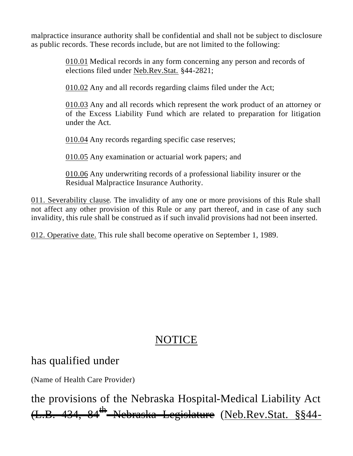malpractice insurance authority shall be confidential and shall not be subject to disclosure as public records. These records include, but are not limited to the following:

> 010.01 Medical records in any form concerning any person and records of elections filed under Neb.Rev.Stat. §44-2821;

010.02 Any and all records regarding claims filed under the Act;

010.03 Any and all records which represent the work product of an attorney or of the Excess Liability Fund which are related to preparation for litigation under the Act.

010.04 Any records regarding specific case reserves;

010.05 Any examination or actuarial work papers; and

010.06 Any underwriting records of a professional liability insurer or the Residual Malpractice Insurance Authority.

011. Severability clause. The invalidity of any one or more provisions of this Rule shall not affect any other provision of this Rule or any part thereof, and in case of any such invalidity, this rule shall be construed as if such invalid provisions had not been inserted.

012. Operative date. This rule shall become operative on September 1, 1989.

## NOTICE

has qualified under

(Name of Health Care Provider)

the provisions of the Nebraska Hospital-Medical Liability Act 4<del>34, 84<sup>th</sup> Nebraska Legislature</del> (<u>Neb.Rev.Stat. §§44-</u>